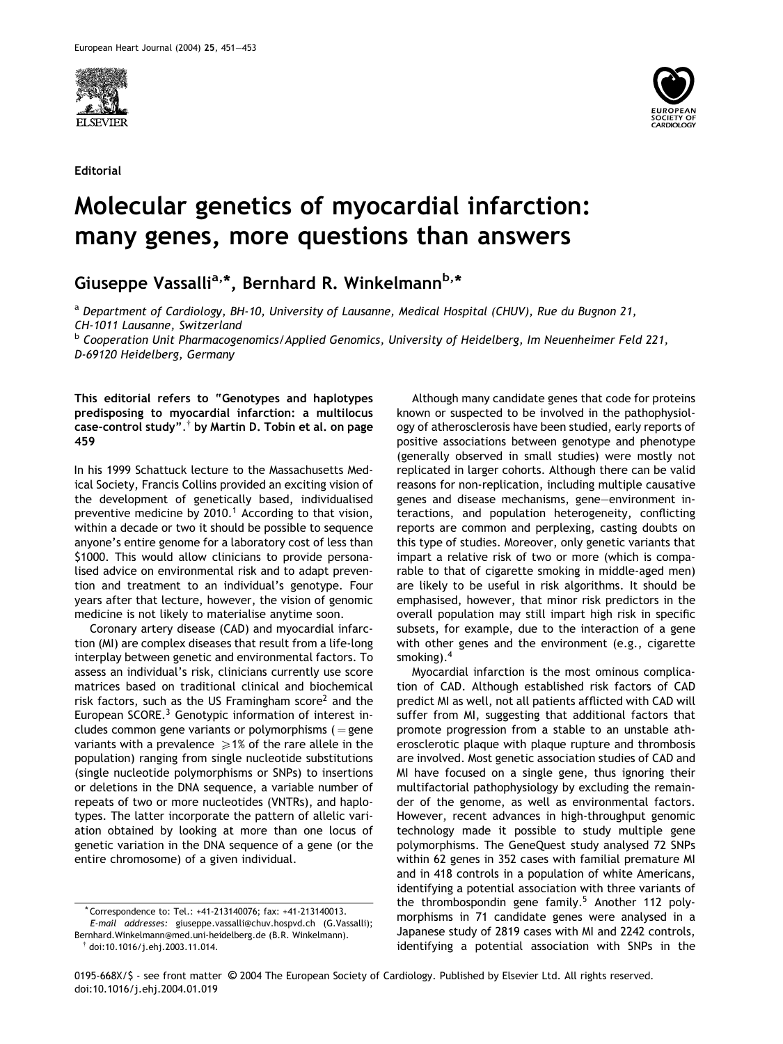

Editorial



## Molecular genetics of myocardial infarction: many genes, more questions than answers

Giuseppe Vassalli<sup>a,\*</sup>, Bernhard R. Winkelmann<sup>b,\*</sup>

<sup>a</sup> Department of Cardiology, BH-10, University of Lausanne, Medical Hospital (CHUV), Rue du Bugnon 21, CH-1011 Lausanne, Switzerland

**b Cooperation Unit Pharmacogenomics/Applied Genomics, University of Heidelberg, Im Neuenheimer Feld 221,** D-69120 Heidelberg, Germany

This editorial refers to "Genotypes and haplotypes predisposing to myocardial infarction: a multilocus  $\overline{\mathsf{case}}\text{-}\mathsf{control}$  study". $^\dagger$  by Martin D. Tobin et al. on page 459

In his 1999 Schattuck lecture to the Massachusetts Medical Society, Francis Collins provided an exciting vision of the development of genetically based, individualised preventive medicine by  $2010<sup>1</sup>$  According to that vision, within a decade or two it should be possible to sequence anyone's entire genome for a laboratory cost of less than \$1000. This would allow clinicians to provide personalised advice on environmental risk and to adapt prevention and treatment to an individual's genotype. Four years after that lecture, however, the vision of genomic medicine is not likely to materialise anytime soon.

Coronary artery disease (CAD) and myocardial infarction (MI) are complex diseases that result from a life-long interplay between genetic and environmental factors. To assess an individual's risk, clinicians currently use score matrices based on traditional clinical and biochemical risk factors, such as the US Framingham score<sup>2</sup> and the European SCORE.<sup>3</sup> Genotypic information of interest includes common gene variants or polymorphisms  $( =$  gene variants with a prevalence  $\geq 1\%$  of the rare allele in the population) ranging from single nucleotide substitutions (single nucleotide polymorphisms or SNPs) to insertions or deletions in the DNA sequence, a variable number of repeats of two or more nucleotides (VNTRs), and haplotypes. The latter incorporate the pattern of allelic variation obtained by looking at more than one locus of genetic variation in the DNA sequence of a gene (or the entire chromosome) of a given individual.

Although many candidate genes that code for proteins known or suspected to be involved in the pathophysiology of atherosclerosis have been studied, early reports of positive associations between genotype and phenotype (generally observed in small studies) were mostly not replicated in larger cohorts. Although there can be valid reasons for non-replication, including multiple causative genes and disease mechanisms, gene–environment interactions, and population heterogeneity, conflicting reports are common and perplexing, casting doubts on this type of studies. Moreover, only genetic variants that impart a relative risk of two or more (which is comparable to that of cigarette smoking in middle-aged men) are likely to be useful in risk algorithms. It should be emphasised, however, that minor risk predictors in the overall population may still impart high risk in specific subsets, for example, due to the interaction of a gene with other genes and the environment (e.g., cigarette smoking).<sup>4</sup>

Myocardial infarction is the most ominous complication of CAD. Although established risk factors of CAD predict MI as well, not all patients afflicted with CAD will suffer from MI, suggesting that additional factors that promote progression from a stable to an unstable atherosclerotic plaque with plaque rupture and thrombosis are involved. Most genetic association studies of CAD and MI have focused on a single gene, thus ignoring their multifactorial pathophysiology by excluding the remainder of the genome, as well as environmental factors. However, recent advances in high-throughput genomic technology made it possible to study multiple gene polymorphisms. The GeneQuest study analysed 72 SNPs within 62 genes in 352 cases with familial premature MI and in 418 controls in a population of white Americans, identifying a potential association with three variants of the thrombospondin gene family.<sup>5</sup> Another 112 polymorphisms in 71 candidate genes were analysed in a Japanese study of 2819 cases with MI and 2242 controls, identifying a potential association with SNPs in the

<sup>\*</sup> Correspondence to: Tel.: +41-213140076; fax: +41-213140013. E-mail addresses: giuseppe.vassalli@chuv.hospvd.ch (G.Vassalli); Bernhard.Winkelmann@med.uni-heidelberg.de (B.R. Winkelmann).

 $\dagger$  doi:10.1016/j.ehj.2003.11.014.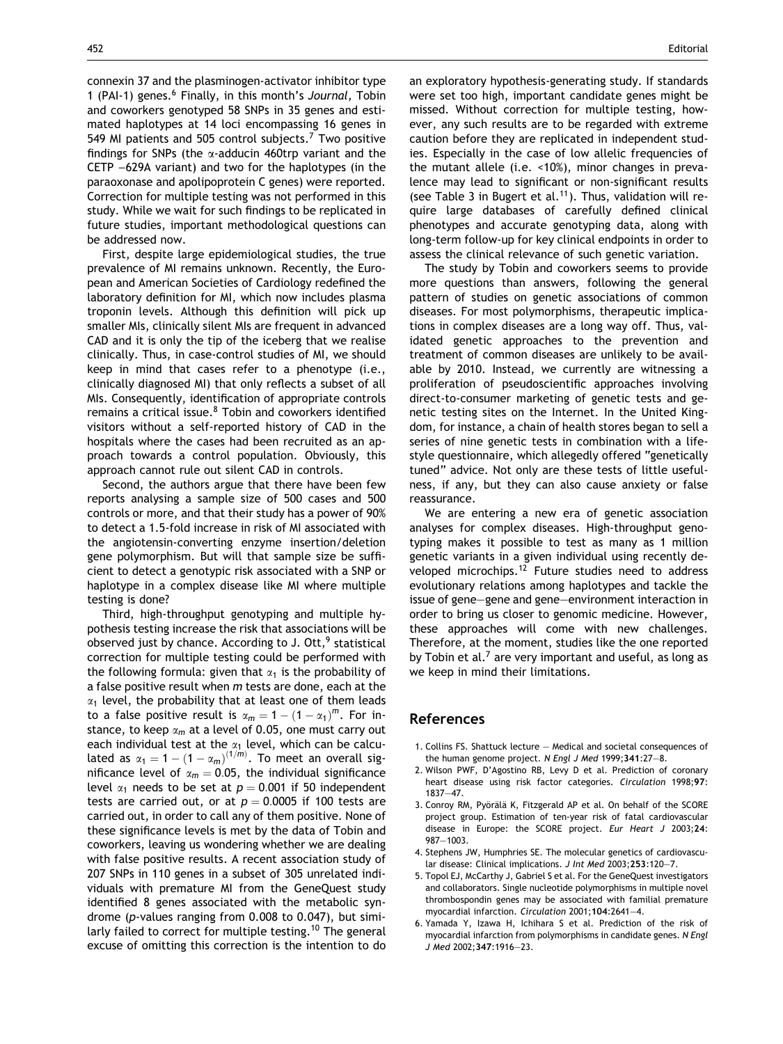connexin 37 and the plasminogen-activator inhibitor type 1 (PAI-1) genes.<sup>6</sup> Finally, in this month's Journal, Tobin and coworkers genotyped 58 SNPs in 35 genes and estimated haplotypes at 14 loci encompassing 16 genes in 549 MI patients and 505 control subjects.<sup>7</sup> Two positive findings for SNPs (the *a*-adducin 460trp variant and the CETP  $-629A$  variant) and two for the haplotypes (in the paraoxonase and apolipoprotein C genes) were reported. Correction for multiple testing was not performed in this study. While we wait for such findings to be replicated in future studies, important methodological questions can be addressed now.

First, despite large epidemiological studies, the true prevalence of MI remains unknown. Recently, the European and American Societies of Cardiology redefined the laboratory definition for MI, which now includes plasma troponin levels. Although this definition will pick up smaller MIs, clinically silent MIs are frequent in advanced CAD and it is only the tip of the iceberg that we realise clinically. Thus, in case-control studies of MI, we should keep in mind that cases refer to a phenotype (i.e., clinically diagnosed MI) that only reflects a subset of all MIs. Consequently, identification of appropriate controls remains a critical issue.<sup>8</sup> Tobin and coworkers identified visitors without a self-reported history of CAD in the hospitals where the cases had been recruited as an approach towards a control population. Obviously, this approach cannot rule out silent CAD in controls.

Second, the authors argue that there have been few reports analysing a sample size of 500 cases and 500 controls or more, and that their study has a power of 90% to detect a 1.5-fold increase in risk of MI associated with the angiotensin-converting enzyme insertion/deletion gene polymorphism. But will that sample size be sufficient to detect a genotypic risk associated with a SNP or haplotype in a complex disease like MI where multiple testing is done?

Third, high-throughput genotyping and multiple hypothesis testing increase the risk that associations will be observed just by chance. According to J. Ott,<sup>9</sup> statistical correction for multiple testing could be performed with the following formula: given that  $\alpha_1$  is the probability of a false positive result when  $m$  tests are done, each at the  $\alpha_1$  level, the probability that at least one of them leads to a false positive result is  $\alpha_m = 1 - (1 - \alpha_1)^m$ . For instance, to keep  $\alpha_m$  at a level of 0.05, one must carry out each individual test at the  $\alpha_1$  level, which can be calculated as  $\alpha_1 = 1 - (1 - \alpha_m)^{(1/m)}$ . To meet an overall significance level of  $\alpha_m = 0.05$ , the individual significance level  $\alpha_1$  needs to be set at  $p = 0.001$  if 50 independent tests are carried out, or at  $p = 0.0005$  if 100 tests are carried out, in order to call any of them positive. None of these significance levels is met by the data of Tobin and coworkers, leaving us wondering whether we are dealing with false positive results. A recent association study of 207 SNPs in 110 genes in a subset of 305 unrelated individuals with premature MI from the GeneQuest study identified 8 genes associated with the metabolic syndrome (p-values ranging from 0.008 to 0.047), but similarly failed to correct for multiple testing.<sup>10</sup> The general excuse of omitting this correction is the intention to do

an exploratory hypothesis-generating study. If standards were set too high, important candidate genes might be missed. Without correction for multiple testing, however, any such results are to be regarded with extreme caution before they are replicated in independent studies. Especially in the case of low allelic frequencies of the mutant allele (i.e. <10%), minor changes in prevalence may lead to significant or non-significant results (see Table 3 in Bugert et al.<sup>11</sup>). Thus, validation will require large databases of carefully defined clinical phenotypes and accurate genotyping data, along with long-term follow-up for key clinical endpoints in order to assess the clinical relevance of such genetic variation.

The study by Tobin and coworkers seems to provide more questions than answers, following the general pattern of studies on genetic associations of common diseases. For most polymorphisms, therapeutic implications in complex diseases are a long way off. Thus, validated genetic approaches to the prevention and treatment of common diseases are unlikely to be available by 2010. Instead, we currently are witnessing a proliferation of pseudoscientific approaches involving direct-to-consumer marketing of genetic tests and genetic testing sites on the Internet. In the United Kingdom, for instance, a chain of health stores began to sell a series of nine genetic tests in combination with a lifestyle questionnaire, which allegedly offered "genetically tuned" advice. Not only are these tests of little usefulness, if any, but they can also cause anxiety or false reassurance.

We are entering a new era of genetic association analyses for complex diseases. High-throughput genotyping makes it possible to test as many as 1 million genetic variants in a given individual using recently developed microchips.<sup>12</sup> Future studies need to address evolutionary relations among haplotypes and tackle the issue of gene–gene and gene–environment interaction in order to bring us closer to genomic medicine. However, these approaches will come with new challenges. Therefore, at the moment, studies like the one reported by Tobin et al.<sup>7</sup> are very important and useful, as long as we keep in mind their limitations.

## References

- 1. Collins FS. Shattuck lecture Medical and societal consequences of the human genome project. N Engl J Med 1999;341:27-8.
- 2. Wilson PWF, D'Agostino RB, Levy D et al. Prediction of coronary heart disease using risk factor categories. Circulation 1998;97: 1837–47.
- 3. Conroy RM, Pyörälä K, Fitzgerald AP et al. On behalf of the SCORE project group. Estimation of ten-year risk of fatal cardiovascular disease in Europe: the SCORE project. Eur Heart J 2003;24: 987–1003.
- 4. Stephens JW, Humphries SE. The molecular genetics of cardiovascular disease: Clinical implications. J Int Med 2003;253:120–7.
- 5. Topol EJ, McCarthy J, Gabriel S et al. For the GeneQuest investigators and collaborators. Single nucleotide polymorphisms in multiple novel thrombospondin genes may be associated with familial premature myocardial infarction. Circulation 2001;104:2641–4.
- 6. Yamada Y, Izawa H, Ichihara S et al. Prediction of the risk of myocardial infarction from polymorphisms in candidate genes. N Engl J Med 2002;347:1916–23.